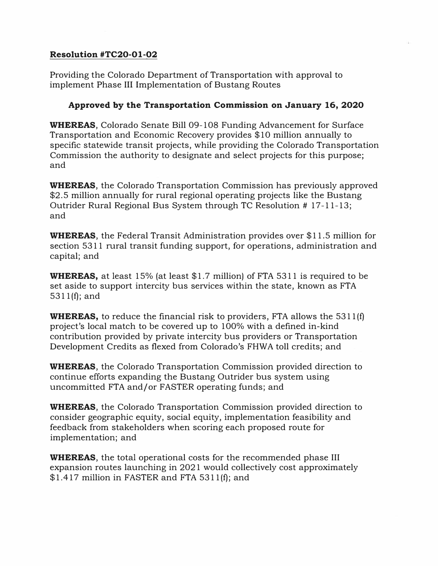## Resolution #TC20-0l-02

Providing the Colorado Department of Transportation with approval to implement Phase III Implementation of Bustang Routes

## Approved by the Transportation Commission on January 16, 2020

WHEREAS, Colorado Senate Bill 09-108 Funding Advancement for Surface Transportation and Economic Recovery provides \$10 million annually to specific statewide transit projects, while providing the Colorado Transportation Commission the authority to designate and select projects for this purpose; and

WHEREAS, the Colorado Transportation Commission has previously approved \$2.5 million annually for rural regional operating projects like the Bustang Outrider Rural Regional Bus System through TC Resolution # 17-11-13; and

WHEREAS, the Federal Transit Administration provides over \$11.5 million for section 5311 rural transit funding support, for operations, administration and capital; and

**WHEREAS,** at least 15% (at least  $$1.7$  million) of FTA 5311 is required to be set aside to support intercity bus services within the state, known as FTA 5311 (f); and

**WHEREAS,** to reduce the financial risk to providers, FTA allows the  $5311(f)$ project's local match to be covered up to 100% with a defined in-kind contribution provided by private intercity bus providers or Transportation Development Credits as flexed from Colorado's FHWA toll credits; and

WHEREAS, the Colorado Transportation Commission provided direction to continue efforts expanding the Bustang Outrider bus system using uncommitted FTA and/or FASTER operating funds; and

WHEREAS, the Colorado Transportation Commission provided direction to consider geographic equity, social equity, implementation feasibility and feedback from stakeholders when scoring each proposed route for implementation; and

WHEREAS, the total operational costs for the recommended phase III expansion routes launching in 2021 would collectively cost approximately \$1.417 million in FASTER and FTA 5311 (f); and